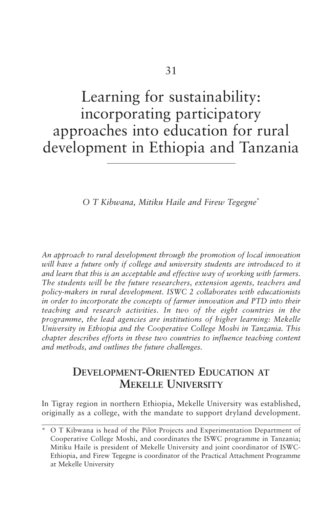# Learning for sustainability: incorporating participatory approaches into education for rural development in Ethiopia and Tanzania

*O T Kibwana, Mitiku Haile and Firew Tegegne*\*

*An approach to rural development through the promotion of local innovation will have a future only if college and university students are introduced to it and learn that this is an acceptable and effective way of working with farmers. The students will be the future researchers, extension agents, teachers and policy-makers in rural development. ISWC 2 collaborates with educationists in order to incorporate the concepts of farmer innovation and PTD into their teaching and research activities. In two of the eight countries in the programme, the lead agencies are institutions of higher learning: Mekelle University in Ethiopia and the Cooperative College Moshi in Tanzania. This chapter describes efforts in these two countries to influence teaching content and methods, and outlines the future challenges.*

# **DEVELOPMENT-ORIENTED EDUCATION AT MEKELLE UNIVERSITY**

In Tigray region in northern Ethiopia, Mekelle University was established, originally as a college, with the mandate to support dryland development.

<sup>\*</sup> O T Kibwana is head of the Pilot Projects and Experimentation Department of Cooperative College Moshi, and coordinates the ISWC programme in Tanzania; Mitiku Haile is president of Mekelle University and joint coordinator of ISWC-Ethiopia, and Firew Tegegne is coordinator of the Practical Attachment Programme at Mekelle University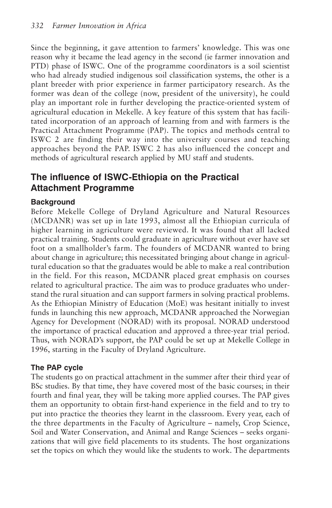Since the beginning, it gave attention to farmers' knowledge. This was one reason why it became the lead agency in the second (ie farmer innovation and PTD) phase of ISWC. One of the programme coordinators is a soil scientist who had already studied indigenous soil classification systems, the other is a plant breeder with prior experience in farmer participatory research. As the former was dean of the college (now, president of the university), he could play an important role in further developing the practice-oriented system of agricultural education in Mekelle. A key feature of this system that has facilitated incorporation of an approach of learning from and with farmers is the Practical Attachment Programme (PAP). The topics and methods central to ISWC 2 are finding their way into the university courses and teaching approaches beyond the PAP. ISWC 2 has also influenced the concept and methods of agricultural research applied by MU staff and students.

# **The influence of ISWC-Ethiopia on the Practical Attachment Programme**

#### **Background**

Before Mekelle College of Dryland Agriculture and Natural Resources (MCDANR) was set up in late 1993, almost all the Ethiopian curricula of higher learning in agriculture were reviewed. It was found that all lacked practical training. Students could graduate in agriculture without ever have set foot on a smallholder's farm. The founders of MCDANR wanted to bring about change in agriculture; this necessitated bringing about change in agricultural education so that the graduates would be able to make a real contribution in the field. For this reason, MCDANR placed great emphasis on courses related to agricultural practice. The aim was to produce graduates who understand the rural situation and can support farmers in solving practical problems. As the Ethiopian Ministry of Education (MoE) was hesitant initially to invest funds in launching this new approach, MCDANR approached the Norwegian Agency for Development (NORAD) with its proposal. NORAD understood the importance of practical education and approved a three-year trial period. Thus, with NORAD's support, the PAP could be set up at Mekelle College in 1996, starting in the Faculty of Dryland Agriculture.

#### **The PAP cycle**

The students go on practical attachment in the summer after their third year of BSc studies. By that time, they have covered most of the basic courses; in their fourth and final year, they will be taking more applied courses. The PAP gives them an opportunity to obtain first-hand experience in the field and to try to put into practice the theories they learnt in the classroom. Every year, each of the three departments in the Faculty of Agriculture – namely, Crop Science, Soil and Water Conservation, and Animal and Range Sciences – seeks organizations that will give field placements to its students. The host organizations set the topics on which they would like the students to work. The departments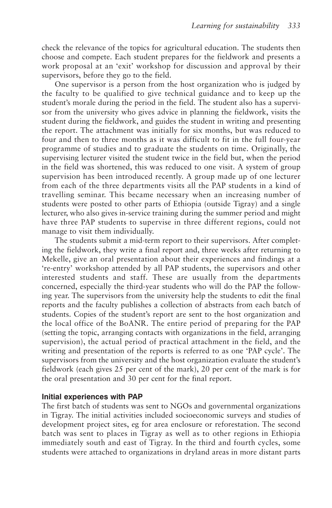check the relevance of the topics for agricultural education. The students then choose and compete. Each student prepares for the fieldwork and presents a work proposal at an 'exit' workshop for discussion and approval by their supervisors, before they go to the field.

One supervisor is a person from the host organization who is judged by the faculty to be qualified to give technical guidance and to keep up the student's morale during the period in the field. The student also has a supervisor from the university who gives advice in planning the fieldwork, visits the student during the fieldwork, and guides the student in writing and presenting the report. The attachment was initially for six months, but was reduced to four and then to three months as it was difficult to fit in the full four-year programme of studies and to graduate the students on time. Originally, the supervising lecturer visited the student twice in the field but, when the period in the field was shortened, this was reduced to one visit. A system of group supervision has been introduced recently. A group made up of one lecturer from each of the three departments visits all the PAP students in a kind of travelling seminar. This became necessary when an increasing number of students were posted to other parts of Ethiopia (outside Tigray) and a single lecturer, who also gives in-service training during the summer period and might have three PAP students to supervise in three different regions, could not manage to visit them individually.

The students submit a mid-term report to their supervisors. After completing the fieldwork, they write a final report and, three weeks after returning to Mekelle, give an oral presentation about their experiences and findings at a 're-entry' workshop attended by all PAP students, the supervisors and other interested students and staff. These are usually from the departments concerned, especially the third-year students who will do the PAP the following year. The supervisors from the university help the students to edit the final reports and the faculty publishes a collection of abstracts from each batch of students. Copies of the student's report are sent to the host organization and the local office of the BoANR. The entire period of preparing for the PAP (setting the topic, arranging contacts with organizations in the field, arranging supervision), the actual period of practical attachment in the field, and the writing and presentation of the reports is referred to as one 'PAP cycle'. The supervisors from the university and the host organization evaluate the student's fieldwork (each gives 25 per cent of the mark), 20 per cent of the mark is for the oral presentation and 30 per cent for the final report.

#### **Initial experiences with PAP**

The first batch of students was sent to NGOs and governmental organizations in Tigray. The initial activities included socioeconomic surveys and studies of development project sites, eg for area enclosure or reforestation. The second batch was sent to places in Tigray as well as to other regions in Ethiopia immediately south and east of Tigray. In the third and fourth cycles, some students were attached to organizations in dryland areas in more distant parts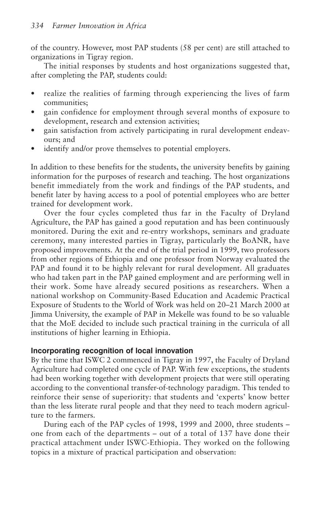of the country. However, most PAP students (58 per cent) are still attached to organizations in Tigray region.

The initial responses by students and host organizations suggested that, after completing the PAP, students could:

- realize the realities of farming through experiencing the lives of farm communities;
- gain confidence for employment through several months of exposure to development, research and extension activities;
- gain satisfaction from actively participating in rural development endeavours; and
- identify and/or prove themselves to potential employers.

In addition to these benefits for the students, the university benefits by gaining information for the purposes of research and teaching. The host organizations benefit immediately from the work and findings of the PAP students, and benefit later by having access to a pool of potential employees who are better trained for development work.

Over the four cycles completed thus far in the Faculty of Dryland Agriculture, the PAP has gained a good reputation and has been continuously monitored. During the exit and re-entry workshops, seminars and graduate ceremony, many interested parties in Tigray, particularly the BoANR, have proposed improvements. At the end of the trial period in 1999, two professors from other regions of Ethiopia and one professor from Norway evaluated the PAP and found it to be highly relevant for rural development. All graduates who had taken part in the PAP gained employment and are performing well in their work. Some have already secured positions as researchers. When a national workshop on Community-Based Education and Academic Practical Exposure of Students to the World of Work was held on 20–21 March 2000 at Jimma University, the example of PAP in Mekelle was found to be so valuable that the MoE decided to include such practical training in the curricula of all institutions of higher learning in Ethiopia.

#### **Incorporating recognition of local innovation**

By the time that ISWC 2 commenced in Tigray in 1997, the Faculty of Dryland Agriculture had completed one cycle of PAP. With few exceptions, the students had been working together with development projects that were still operating according to the conventional transfer-of-technology paradigm. This tended to reinforce their sense of superiority: that students and 'experts' know better than the less literate rural people and that they need to teach modern agriculture to the farmers.

During each of the PAP cycles of 1998, 1999 and 2000, three students – one from each of the departments – out of a total of 137 have done their practical attachment under ISWC-Ethiopia. They worked on the following topics in a mixture of practical participation and observation: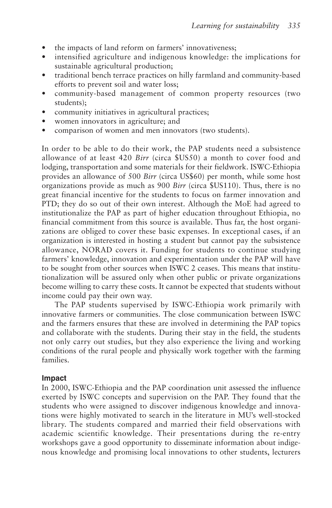- the impacts of land reform on farmers' innovativeness:
- intensified agriculture and indigenous knowledge: the implications for sustainable agricultural production;
- traditional bench terrace practices on hilly farmland and community-based efforts to prevent soil and water loss;
- community-based management of common property resources (two students);
- community initiatives in agricultural practices;
- women innovators in agriculture; and
- comparison of women and men innovators (two students).

In order to be able to do their work, the PAP students need a subsistence allowance of at least 420 *Birr* (circa \$US50) a month to cover food and lodging, transportation and some materials for their fieldwork. ISWC-Ethiopia provides an allowance of 500 *Birr* (circa US\$60) per month, while some host organizations provide as much as 900 *Birr* (circa \$US110). Thus, there is no great financial incentive for the students to focus on farmer innovation and PTD; they do so out of their own interest. Although the MoE had agreed to institutionalize the PAP as part of higher education throughout Ethiopia, no financial commitment from this source is available. Thus far, the host organizations are obliged to cover these basic expenses. In exceptional cases, if an organization is interested in hosting a student but cannot pay the subsistence allowance, NORAD covers it. Funding for students to continue studying farmers' knowledge, innovation and experimentation under the PAP will have to be sought from other sources when ISWC 2 ceases. This means that institutionalization will be assured only when other public or private organizations become willing to carry these costs. It cannot be expected that students without income could pay their own way.

The PAP students supervised by ISWC-Ethiopia work primarily with innovative farmers or communities. The close communication between ISWC and the farmers ensures that these are involved in determining the PAP topics and collaborate with the students. During their stay in the field, the students not only carry out studies, but they also experience the living and working conditions of the rural people and physically work together with the farming families.

#### **Impact**

In 2000, ISWC-Ethiopia and the PAP coordination unit assessed the influence exerted by ISWC concepts and supervision on the PAP. They found that the students who were assigned to discover indigenous knowledge and innovations were highly motivated to search in the literature in MU's well-stocked library. The students compared and married their field observations with academic scientific knowledge. Their presentations during the re-entry workshops gave a good opportunity to disseminate information about indigenous knowledge and promising local innovations to other students, lecturers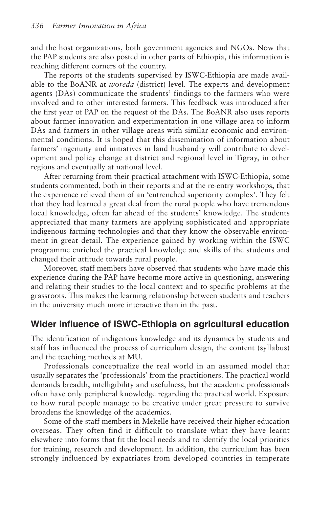and the host organizations, both government agencies and NGOs. Now that the PAP students are also posted in other parts of Ethiopia, this information is reaching different corners of the country.

The reports of the students supervised by ISWC-Ethiopia are made available to the BoANR at *woreda* (district) level. The experts and development agents (DAs) communicate the students' findings to the farmers who were involved and to other interested farmers. This feedback was introduced after the first year of PAP on the request of the DAs. The BoANR also uses reports about farmer innovation and experimentation in one village area to inform DAs and farmers in other village areas with similar economic and environmental conditions. It is hoped that this dissemination of information about farmers' ingenuity and initiatives in land husbandry will contribute to development and policy change at district and regional level in Tigray, in other regions and eventually at national level.

After returning from their practical attachment with ISWC-Ethiopia, some students commented, both in their reports and at the re-entry workshops, that the experience relieved them of an 'entrenched superiority complex'. They felt that they had learned a great deal from the rural people who have tremendous local knowledge, often far ahead of the students' knowledge. The students appreciated that many farmers are applying sophisticated and appropriate indigenous farming technologies and that they know the observable environment in great detail. The experience gained by working within the ISWC programme enriched the practical knowledge and skills of the students and changed their attitude towards rural people.

Moreover, staff members have observed that students who have made this experience during the PAP have become more active in questioning, answering and relating their studies to the local context and to specific problems at the grassroots. This makes the learning relationship between students and teachers in the university much more interactive than in the past.

### **Wider influence of ISWC-Ethiopia on agricultural education**

The identification of indigenous knowledge and its dynamics by students and staff has influenced the process of curriculum design, the content (syllabus) and the teaching methods at MU.

Professionals conceptualize the real world in an assumed model that usually separates the 'professionals' from the practitioners. The practical world demands breadth, intelligibility and usefulness, but the academic professionals often have only peripheral knowledge regarding the practical world. Exposure to how rural people manage to be creative under great pressure to survive broadens the knowledge of the academics.

Some of the staff members in Mekelle have received their higher education overseas. They often find it difficult to translate what they have learnt elsewhere into forms that fit the local needs and to identify the local priorities for training, research and development. In addition, the curriculum has been strongly influenced by expatriates from developed countries in temperate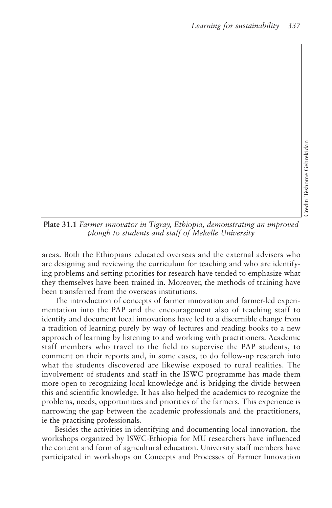**Plate 31.1** *Farmer innovator in Tigray, Ethiopia, demonstrating an improved plough to students and staff of Mekelle University* 

areas. Both the Ethiopians educated overseas and the external advisers who are designing and reviewing the curriculum for teaching and who are identifying problems and setting priorities for research have tended to emphasize what they themselves have been trained in. Moreover, the methods of training have been transferred from the overseas institutions.

The introduction of concepts of farmer innovation and farmer-led experimentation into the PAP and the encouragement also of teaching staff to identify and document local innovations have led to a discernible change from a tradition of learning purely by way of lectures and reading books to a new approach of learning by listening to and working with practitioners. Academic staff members who travel to the field to supervise the PAP students, to comment on their reports and, in some cases, to do follow-up research into what the students discovered are likewise exposed to rural realities. The involvement of students and staff in the ISWC programme has made them more open to recognizing local knowledge and is bridging the divide between this and scientific knowledge. It has also helped the academics to recognize the problems, needs, opportunities and priorities of the farmers. This experience is narrowing the gap between the academic professionals and the practitioners, ie the practising professionals.

Besides the activities in identifying and documenting local innovation, the workshops organized by ISWC-Ethiopia for MU researchers have influenced the content and form of agricultural education. University staff members have participated in workshops on Concepts and Processes of Farmer Innovation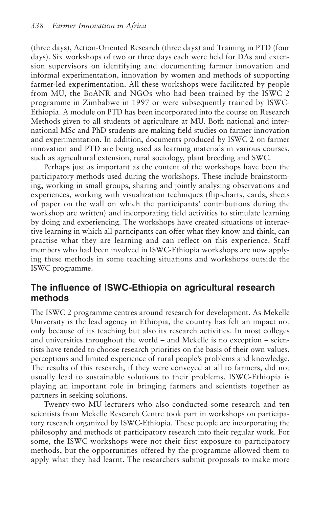(three days), Action-Oriented Research (three days) and Training in PTD (four days). Six workshops of two or three days each were held for DAs and extension supervisors on identifying and documenting farmer innovation and informal experimentation, innovation by women and methods of supporting farmer-led experimentation. All these workshops were facilitated by people from MU, the BoANR and NGOs who had been trained by the ISWC 2 programme in Zimbabwe in 1997 or were subsequently trained by ISWC-Ethiopia. A module on PTD has been incorporated into the course on Research Methods given to all students of agriculture at MU. Both national and international MSc and PhD students are making field studies on farmer innovation and experimentation. In addition, documents produced by ISWC 2 on farmer innovation and PTD are being used as learning materials in various courses, such as agricultural extension, rural sociology, plant breeding and SWC.

Perhaps just as important as the content of the workshops have been the participatory methods used during the workshops. These include brainstorming, working in small groups, sharing and jointly analysing observations and experiences, working with visualization techniques (flip-charts, cards, sheets of paper on the wall on which the participants' contributions during the workshop are written) and incorporating field activities to stimulate learning by doing and experiencing. The workshops have created situations of interactive learning in which all participants can offer what they know and think, can practise what they are learning and can reflect on this experience. Staff members who had been involved in ISWC-Ethiopia workshops are now applying these methods in some teaching situations and workshops outside the ISWC programme.

## **The influence of ISWC-Ethiopia on agricultural research methods**

The ISWC 2 programme centres around research for development. As Mekelle University is the lead agency in Ethiopia, the country has felt an impact not only because of its teaching but also its research activities. In most colleges and universities throughout the world – and Mekelle is no exception – scientists have tended to choose research priorities on the basis of their own values, perceptions and limited experience of rural people's problems and knowledge. The results of this research, if they were conveyed at all to farmers, did not usually lead to sustainable solutions to their problems. ISWC-Ethiopia is playing an important role in bringing farmers and scientists together as partners in seeking solutions.

Twenty-two MU lecturers who also conducted some research and ten scientists from Mekelle Research Centre took part in workshops on participatory research organized by ISWC-Ethiopia. These people are incorporating the philosophy and methods of participatory research into their regular work. For some, the ISWC workshops were not their first exposure to participatory methods, but the opportunities offered by the programme allowed them to apply what they had learnt. The researchers submit proposals to make more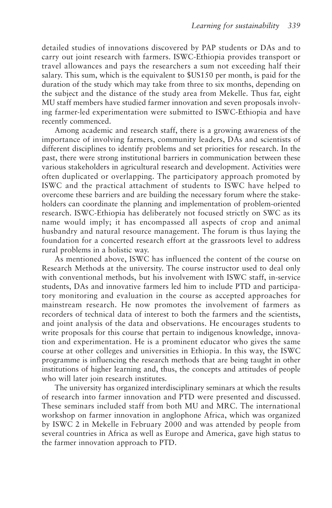detailed studies of innovations discovered by PAP students or DAs and to carry out joint research with farmers. ISWC-Ethiopia provides transport or travel allowances and pays the researchers a sum not exceeding half their salary. This sum, which is the equivalent to \$US150 per month, is paid for the duration of the study which may take from three to six months, depending on the subject and the distance of the study area from Mekelle. Thus far, eight MU staff members have studied farmer innovation and seven proposals involving farmer-led experimentation were submitted to ISWC-Ethiopia and have recently commenced.

Among academic and research staff, there is a growing awareness of the importance of involving farmers, community leaders, DAs and scientists of different disciplines to identify problems and set priorities for research. In the past, there were strong institutional barriers in communication between these various stakeholders in agricultural research and development. Activities were often duplicated or overlapping. The participatory approach promoted by ISWC and the practical attachment of students to ISWC have helped to overcome these barriers and are building the necessary forum where the stakeholders can coordinate the planning and implementation of problem-oriented research. ISWC-Ethiopia has deliberately not focused strictly on SWC as its name would imply; it has encompassed all aspects of crop and animal husbandry and natural resource management. The forum is thus laying the foundation for a concerted research effort at the grassroots level to address rural problems in a holistic way.

As mentioned above, ISWC has influenced the content of the course on Research Methods at the university. The course instructor used to deal only with conventional methods, but his involvement with ISWC staff, in-service students, DAs and innovative farmers led him to include PTD and participatory monitoring and evaluation in the course as accepted approaches for mainstream research. He now promotes the involvement of farmers as recorders of technical data of interest to both the farmers and the scientists, and joint analysis of the data and observations. He encourages students to write proposals for this course that pertain to indigenous knowledge, innovation and experimentation. He is a prominent educator who gives the same course at other colleges and universities in Ethiopia. In this way, the ISWC programme is influencing the research methods that are being taught in other institutions of higher learning and, thus, the concepts and attitudes of people who will later join research institutes.

The university has organized interdisciplinary seminars at which the results of research into farmer innovation and PTD were presented and discussed. These seminars included staff from both MU and MRC. The international workshop on farmer innovation in anglophone Africa, which was organized by ISWC 2 in Mekelle in February 2000 and was attended by people from several countries in Africa as well as Europe and America, gave high status to the farmer innovation approach to PTD.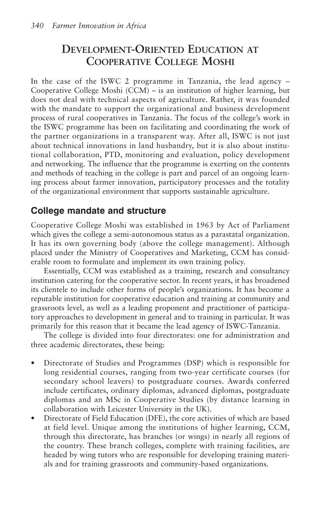# **DEVELOPMENT-ORIENTED EDUCATION AT COOPERATIVE COLLEGE MOSHI**

In the case of the ISWC 2 programme in Tanzania, the lead agency – Cooperative College Moshi (CCM) – is an institution of higher learning, but does not deal with technical aspects of agriculture. Rather, it was founded with the mandate to support the organizational and business development process of rural cooperatives in Tanzania. The focus of the college's work in the ISWC programme has been on facilitating and coordinating the work of the partner organizations in a transparent way. After all, ISWC is not just about technical innovations in land husbandry, but it is also about institutional collaboration, PTD, monitoring and evaluation, policy development and networking. The influence that the programme is exerting on the contents and methods of teaching in the college is part and parcel of an ongoing learning process about farmer innovation, participatory processes and the totality of the organizational environment that supports sustainable agriculture.

# **College mandate and structure**

Cooperative College Moshi was established in 1963 by Act of Parliament which gives the college a semi-autonomous status as a parastatal organization. It has its own governing body (above the college management). Although placed under the Ministry of Cooperatives and Marketing, CCM has considerable room to formulate and implement its own training policy.

Essentially, CCM was established as a training, research and consultancy institution catering for the cooperative sector. In recent years, it has broadened its clientele to include other forms of people's organizations. It has become a reputable institution for cooperative education and training at community and grassroots level, as well as a leading proponent and practitioner of participatory approaches to development in general and to training in particular. It was primarily for this reason that it became the lead agency of ISWC-Tanzania.

The college is divided into four directorates: one for administration and three academic directorates, these being:

- Directorate of Studies and Programmes (DSP) which is responsible for long residential courses, ranging from two-year certificate courses (for secondary school leavers) to postgraduate courses. Awards conferred include certificates, ordinary diplomas, advanced diplomas, postgraduate diplomas and an MSc in Cooperative Studies (by distance learning in collaboration with Leicester University in the UK).
- Directorate of Field Education (DFE), the core activities of which are based at field level. Unique among the institutions of higher learning, CCM, through this directorate, has branches (or wings) in nearly all regions of the country. These branch colleges, complete with training facilities, are headed by wing tutors who are responsible for developing training materials and for training grassroots and community-based organizations.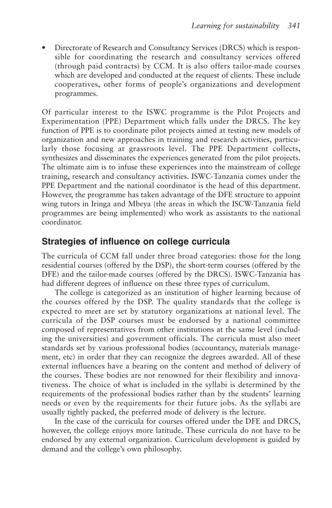• Directorate of Research and Consultancy Services (DRCS) which is responsible for coordinating the research and consultancy services offered (through paid contracts) by CCM. It is also offers tailor-made courses which are developed and conducted at the request of clients. These include cooperatives, other forms of people's organizations and development programmes.

Of particular interest to the ISWC programme is the Pilot Projects and Experimentation (PPE) Department which falls under the DRCS. The key function of PPE is to coordinate pilot projects aimed at testing new models of organization and new approaches in training and research activities, particularly those focusing at grassroots level. The PPE Department collects, synthesizes and disseminates the experiences generated from the pilot projects. The ultimate aim is to infuse these experiences into the mainstream of college training, research and consultancy activities. ISWC-Tanzania comes under the PPE Department and the national coordinator is the head of this department. However, the programme has taken advantage of the DFE structure to appoint wing tutors in Iringa and Mbeya (the areas in which the ISCW-Tanzania field programmes are being implemented) who work as assistants to the national coordinator.

## **Strategies of influence on college curricula**

The curricula of CCM fall under three broad categories: those for the long residential courses (offered by the DSP), the short-term courses (offered by the DFE) and the tailor-made courses (offered by the DRCS). ISWC-Tanzania has had different degrees of influence on these three types of curriculum.

The college is categorized as an institution of higher learning because of the courses offered by the DSP. The quality standards that the college is expected to meet are set by statutory organizations at national level. The curricula of the DSP courses must be endorsed by a national committee composed of representatives from other institutions at the same level (including the universities) and government officials. The curricula must also meet standards set by various professional bodies (accountancy, materials management, etc) in order that they can recognize the degrees awarded. All of these external influences have a bearing on the content and method of delivery of the courses. These bodies are not renowned for their flexibility and innovativeness. The choice of what is included in the syllabi is determined by the requirements of the professional bodies rather than by the students' learning needs or even by the requirements for their future jobs. As the syllabi are usually tightly packed, the preferred mode of delivery is the lecture.

In the case of the curricula for courses offered under the DFE and DRCS, however, the college enjoys more latitude. These curricula do not have to be endorsed by any external organization. Curriculum development is guided by demand and the college's own philosophy.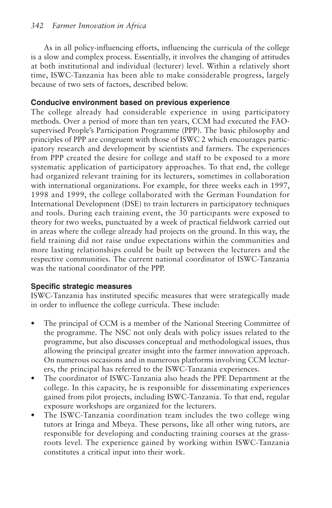As in all policy-influencing efforts, influencing the curricula of the college is a slow and complex process. Essentially, it involves the changing of attitudes at both institutional and individual (lecturer) level. Within a relatively short time, ISWC-Tanzania has been able to make considerable progress, largely because of two sets of factors, described below.

#### **Conducive environment based on previous experience**

The college already had considerable experience in using participatory methods. Over a period of more than ten years, CCM had executed the FAOsupervised People's Participation Programme (PPP). The basic philosophy and principles of PPP are congruent with those of ISWC 2 which encourages participatory research and development by scientists and farmers. The experiences from PPP created the desire for college and staff to be exposed to a more systematic application of participatory approaches. To that end, the college had organized relevant training for its lecturers, sometimes in collaboration with international organizations. For example, for three weeks each in 1997, 1998 and 1999, the college collaborated with the German Foundation for International Development (DSE) to train lecturers in participatory techniques and tools. During each training event, the 30 participants were exposed to theory for two weeks, punctuated by a week of practical fieldwork carried out in areas where the college already had projects on the ground. In this way, the field training did not raise undue expectations within the communities and more lasting relationships could be built up between the lecturers and the respective communities. The current national coordinator of ISWC-Tanzania was the national coordinator of the PPP.

#### **Specific strategic measures**

ISWC-Tanzania has instituted specific measures that were strategically made in order to influence the college curricula. These include:

- The principal of CCM is a member of the National Steering Committee of the programme. The NSC not only deals with policy issues related to the programme, but also discusses conceptual and methodological issues, thus allowing the principal greater insight into the farmer innovation approach. On numerous occasions and in numerous platforms involving CCM lecturers, the principal has referred to the ISWC-Tanzania experiences.
- The coordinator of ISWC-Tanzania also heads the PPE Department at the college. In this capacity, he is responsible for disseminating experiences gained from pilot projects, including ISWC-Tanzania. To that end, regular exposure workshops are organized for the lecturers.
- The ISWC-Tanzania coordination team includes the two college wing tutors at Iringa and Mbeya. These persons, like all other wing tutors, are responsible for developing and conducting training courses at the grassroots level. The experience gained by working within ISWC-Tanzania constitutes a critical input into their work.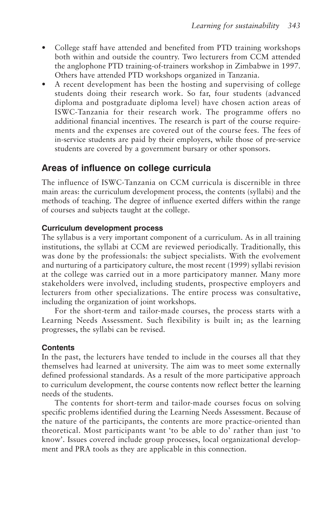- College staff have attended and benefited from PTD training workshops both within and outside the country. Two lecturers from CCM attended the anglophone PTD training-of-trainers workshop in Zimbabwe in 1997. Others have attended PTD workshops organized in Tanzania.
- A recent development has been the hosting and supervising of college students doing their research work. So far, four students (advanced diploma and postgraduate diploma level) have chosen action areas of ISWC-Tanzania for their research work. The programme offers no additional financial incentives. The research is part of the course requirements and the expenses are covered out of the course fees. The fees of in-service students are paid by their employers, while those of pre-service students are covered by a government bursary or other sponsors.

## **Areas of influence on college curricula**

The influence of ISWC-Tanzania on CCM curricula is discernible in three main areas: the curriculum development process, the contents (syllabi) and the methods of teaching. The degree of influence exerted differs within the range of courses and subjects taught at the college.

#### **Curriculum development process**

The syllabus is a very important component of a curriculum. As in all training institutions, the syllabi at CCM are reviewed periodically. Traditionally, this was done by the professionals: the subject specialists. With the evolvement and nurturing of a participatory culture, the most recent (1999) syllabi revision at the college was carried out in a more participatory manner. Many more stakeholders were involved, including students, prospective employers and lecturers from other specializations. The entire process was consultative, including the organization of joint workshops.

For the short-term and tailor-made courses, the process starts with a Learning Needs Assessment. Such flexibility is built in; as the learning progresses, the syllabi can be revised.

#### **Contents**

In the past, the lecturers have tended to include in the courses all that they themselves had learned at university. The aim was to meet some externally defined professional standards. As a result of the more participative approach to curriculum development, the course contents now reflect better the learning needs of the students.

The contents for short-term and tailor-made courses focus on solving specific problems identified during the Learning Needs Assessment. Because of the nature of the participants, the contents are more practice-oriented than theoretical. Most participants want 'to be able to do' rather than just 'to know'. Issues covered include group processes, local organizational development and PRA tools as they are applicable in this connection.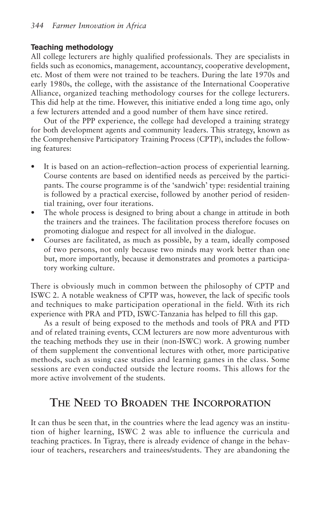#### **Teaching methodology**

All college lecturers are highly qualified professionals. They are specialists in fields such as economics, management, accountancy, cooperative development, etc. Most of them were not trained to be teachers. During the late 1970s and early 1980s, the college, with the assistance of the International Cooperative Alliance, organized teaching methodology courses for the college lecturers. This did help at the time. However, this initiative ended a long time ago, only a few lecturers attended and a good number of them have since retired.

Out of the PPP experience, the college had developed a training strategy for both development agents and community leaders. This strategy, known as the Comprehensive Participatory Training Process (CPTP), includes the following features:

- It is based on an action–reflection–action process of experiential learning. Course contents are based on identified needs as perceived by the participants. The course programme is of the 'sandwich' type: residential training is followed by a practical exercise, followed by another period of residential training, over four iterations.
- The whole process is designed to bring about a change in attitude in both the trainers and the trainees. The facilitation process therefore focuses on promoting dialogue and respect for all involved in the dialogue.
- Courses are facilitated, as much as possible, by a team, ideally composed of two persons, not only because two minds may work better than one but, more importantly, because it demonstrates and promotes a participatory working culture.

There is obviously much in common between the philosophy of CPTP and ISWC 2. A notable weakness of CPTP was, however, the lack of specific tools and techniques to make participation operational in the field. With its rich experience with PRA and PTD, ISWC-Tanzania has helped to fill this gap.

As a result of being exposed to the methods and tools of PRA and PTD and of related training events, CCM lecturers are now more adventurous with the teaching methods they use in their (non-ISWC) work. A growing number of them supplement the conventional lectures with other, more participative methods, such as using case studies and learning games in the class. Some sessions are even conducted outside the lecture rooms. This allows for the more active involvement of the students.

# **THE NEED TO BROADEN THE INCORPORATION**

It can thus be seen that, in the countries where the lead agency was an institution of higher learning, ISWC 2 was able to influence the curricula and teaching practices. In Tigray, there is already evidence of change in the behaviour of teachers, researchers and trainees/students. They are abandoning the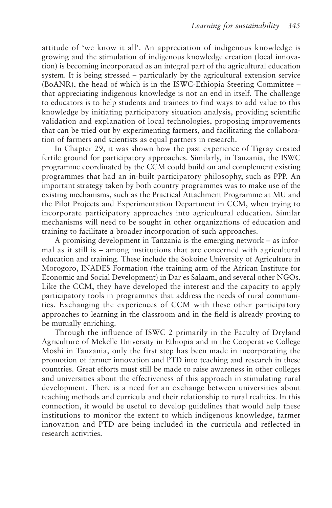attitude of 'we know it all'. An appreciation of indigenous knowledge is growing and the stimulation of indigenous knowledge creation (local innovation) is becoming incorporated as an integral part of the agricultural education system. It is being stressed – particularly by the agricultural extension service (BoANR), the head of which is in the ISWC-Ethiopia Steering Committee – that appreciating indigenous knowledge is not an end in itself. The challenge to educators is to help students and trainees to find ways to add value to this knowledge by initiating participatory situation analysis, providing scientific validation and explanation of local technologies, proposing improvements that can be tried out by experimenting farmers, and facilitating the collaboration of farmers and scientists as equal partners in research.

In Chapter 29, it was shown how the past experience of Tigray created fertile ground for participatory approaches. Similarly, in Tanzania, the ISWC programme coordinated by the CCM could build on and complement existing programmes that had an in-built participatory philosophy, such as PPP. An important strategy taken by both country programmes was to make use of the existing mechanisms, such as the Practical Attachment Programme at MU and the Pilot Projects and Experimentation Department in CCM, when trying to incorporate participatory approaches into agricultural education. Similar mechanisms will need to be sought in other organizations of education and training to facilitate a broader incorporation of such approaches.

A promising development in Tanzania is the emerging network – as informal as it still is – among institutions that are concerned with agricultural education and training. These include the Sokoine University of Agriculture in Morogoro, INADES Formation (the training arm of the African Institute for Economic and Social Development) in Dar es Salaam, and several other NGOs. Like the CCM, they have developed the interest and the capacity to apply participatory tools in programmes that address the needs of rural communities. Exchanging the experiences of CCM with these other participatory approaches to learning in the classroom and in the field is already proving to be mutually enriching.

Through the influence of ISWC 2 primarily in the Faculty of Dryland Agriculture of Mekelle University in Ethiopia and in the Cooperative College Moshi in Tanzania, only the first step has been made in incorporating the promotion of farmer innovation and PTD into teaching and research in these countries. Great efforts must still be made to raise awareness in other colleges and universities about the effectiveness of this approach in stimulating rural development. There is a need for an exchange between universities about teaching methods and curricula and their relationship to rural realities. In this connection, it would be useful to develop guidelines that would help these institutions to monitor the extent to which indigenous knowledge, farmer innovation and PTD are being included in the curricula and reflected in research activities.